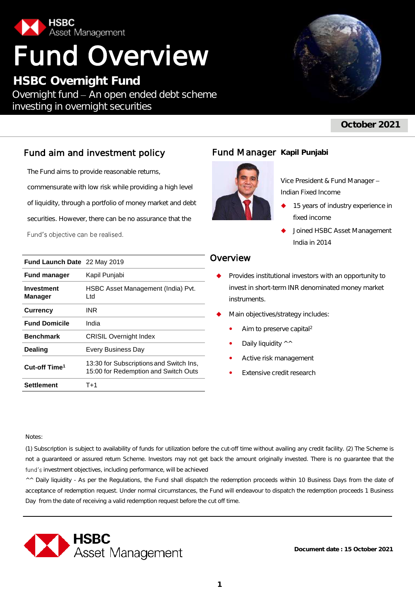

# Fund Overview

**HSBC Overnight Fund** Overnight fund - An open ended debt scheme investing in overnight securities



# **October 2021**

# Fund aim and investment policy

The Fund aims to provide reasonable returns, commensurate with low risk while providing a high level of liquidity, through a portfolio of money market and debt securities. However, there can be no assurance that the Fund's objective can be realised.

| <b>Fund Launch Date</b> 22 May 2019 |                                                                                 |
|-------------------------------------|---------------------------------------------------------------------------------|
| <b>Fund manager</b>                 | Kapil Punjabi                                                                   |
| Investment<br><b>Manager</b>        | HSBC Asset Management (India) Pvt.<br>Ltd.                                      |
| <b>Currency</b>                     | INR                                                                             |
| <b>Fund Domicile</b>                | India                                                                           |
| <b>Benchmark</b>                    | <b>CRISIL Overnight Index</b>                                                   |
| <b>Dealing</b>                      | Every Business Day                                                              |
| Cut-off Time <sup>1</sup>           | 13:30 for Subscriptions and Switch Ins,<br>15:00 for Redemption and Switch Outs |
| Settlement                          | T+1                                                                             |

# **Fund Manager Kapil Punjabi**



Vice President & Fund Manager Indian Fixed Income

- 15 years of industry experience in fixed income
- Joined HSBC Asset Management India in 2014

# Overview

- Provides institutional investors with an opportunity to invest in short-term INR denominated money market instruments.
- Main objectives/strategy includes:
	- Aim to preserve capital<sup>2</sup>
	- Daily liquidity ^^
	- Active risk management
	- Extensive credit research

Notes:

(1) Subscription is subject to availability of funds for utilization before the cut-off time without availing any credit facility. (2) The Scheme is not a guaranteed or assured return Scheme. Investors may not get back the amount originally invested. There is no guarantee that the fund's investment objectives, including performance, will be achieved

^^ Daily liquidity - As per the Regulations, the Fund shall dispatch the redemption proceeds within 10 Business Days from the date of acceptance of redemption request. Under normal circumstances, the Fund will endeavour to dispatch the redemption proceeds 1 Business Day from the date of receiving a valid redemption request before the cut off time.



**Document date : 15 October 2021**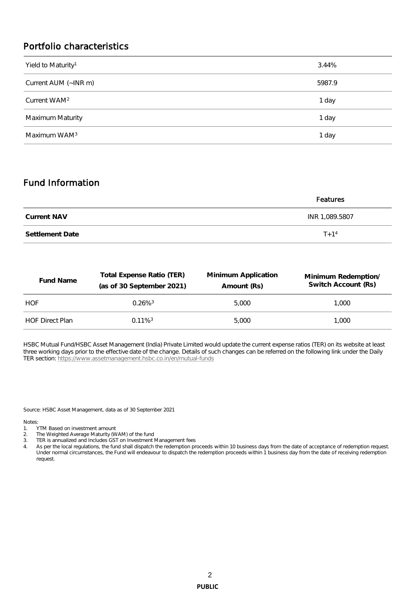# Portfolio characteristics

| Yield to Maturity <sup>1</sup> | 3.44%  |
|--------------------------------|--------|
| Current AUM (~INR m)           | 5987.9 |
| Current WAM <sup>2</sup>       | 1 day  |
| Maximum Maturity               | 1 day  |
| Maximum WAM <sup>3</sup>       | 1 day  |

# Fund Information

|                 | Features       |  |  |  |  |
|-----------------|----------------|--|--|--|--|
| Current NAV     | INR 1,089.5807 |  |  |  |  |
| Settlement Date | $T + 1^4$      |  |  |  |  |

| Fund Name              | Total Expense Ratio (TER)<br>(as of 30 September 2021) | Minimum Application<br>Amount (Rs) | Minimum Redemption/<br>Switch Account (Rs) |  |  |
|------------------------|--------------------------------------------------------|------------------------------------|--------------------------------------------|--|--|
| HOF                    | $0.26\%$ <sup>3</sup>                                  | 5.000                              | 1.000                                      |  |  |
| <b>HOF Direct Plan</b> | $0.11\%$ <sup>3</sup>                                  | 5.000                              | 1.000                                      |  |  |

HSBC Mutual Fund/HSBC Asset Management (India) Private Limited would update the current expense ratios (TER) on its website at least three working days prior to the effective date of the change. Details of such changes can be referred on the following link under the Daily TER section:<https://www.assetmanagement.hsbc.co.in/en/mutual-funds>

Source: HSBC Asset Management, data as of 30 September 2021

Notes:

- 1. YTM Based on investment amount
- 2. The Weighted Average Maturity (WAM) of the fund
- 3. TER is annualized and Includes GST on Investment Management fees
- 4. As per the local regulations, the fund shall dispatch the redemption proceeds within 10 business days from the date of acceptance of redemption request. Under normal circumstances, the Fund will endeavour to dispatch the redemption proceeds within 1 business day from the date of receiving redemption request.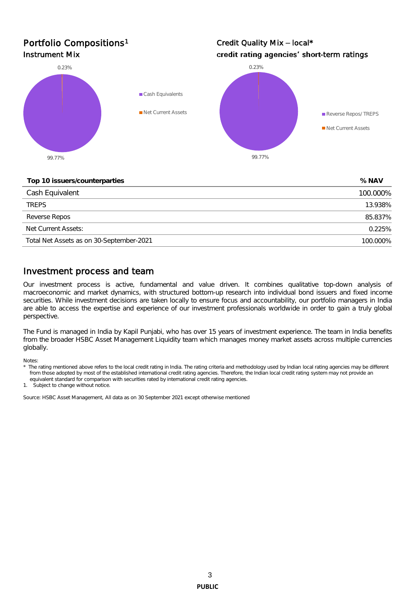# Portfolio Compositions<sup>1</sup>

Credit Quality Mix - local\* Instrument Mix **All and Strument Mix Credit rating agencies' short-term ratings** 



#### **Top 10 issuers/counterparties % NAV**

| $\sim$ $\sim$ $\sim$ $\sim$ $\sim$ |
|------------------------------------|
| 100.000%                           |
| 13.938%                            |
| 85.837%                            |
| 0.225%                             |
| 100.000%                           |
|                                    |

# Investment process and team

Our investment process is active, fundamental and value driven. It combines qualitative top-down analysis of macroeconomic and market dynamics, with structured bottom-up research into individual bond issuers and fixed income securities. While investment decisions are taken locally to ensure focus and accountability, our portfolio managers in India are able to access the expertise and experience of our investment professionals worldwide in order to gain a truly global perspective.

The Fund is managed in India by Kapil Punjabi, who has over 15 years of investment experience. The team in India benefits from the broader HSBC Asset Management Liquidity team which manages money market assets across multiple currencies globally.

Notes:

1. Subject to change without notice.

Source: HSBC Asset Management, All data as on 30 September 2021 except otherwise mentioned

The rating mentioned above refers to the local credit rating in India. The rating criteria and methodology used by Indian local rating agencies may be different from those adopted by most of the established international credit rating agencies. Therefore, the Indian local credit rating system may not provide an equivalent standard for comparison with securities rated by international credit rating agencies.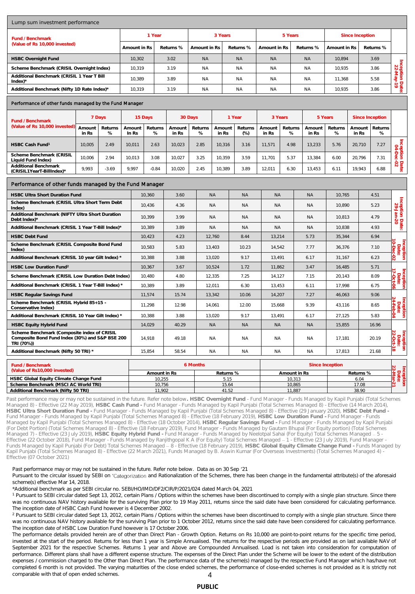| Lump sum investment performance                                                                              |                 |              |                 |                           |                 |              |                 |           |                   |                 |                 |                 |              |                 |                 |                         |                                        |
|--------------------------------------------------------------------------------------------------------------|-----------------|--------------|-----------------|---------------------------|-----------------|--------------|-----------------|-----------|-------------------|-----------------|-----------------|-----------------|--------------|-----------------|-----------------|-------------------------|----------------------------------------|
| Fund / Benchmark                                                                                             |                 | 1 Year       |                 |                           | 3 Years         |              |                 | 5 Years   |                   |                 | Since Inception |                 |              |                 |                 |                         |                                        |
| (Value of Rs 10,000 invested)                                                                                |                 |              |                 | Amount in Rs<br>Returns % |                 | Amount in Rs |                 |           | Returns %         | Amount in Rs    |                 | Returns %       | Amount in Rs |                 | Returns %       |                         |                                        |
| <b>HSBC Overnight Fund</b>                                                                                   |                 |              | 10,302          |                           | 3.02            | <b>NA</b>    |                 | <b>NA</b> |                   | <b>NA</b>       |                 | <b>NA</b>       | 10,894       | 3.69            |                 |                         |                                        |
| Scheme Benchmark (CRISIL Overnight Index)                                                                    |                 |              | 10,319          |                           | 3.19            | <b>NA</b>    |                 | <b>NA</b> |                   | <b>NA</b>       |                 | <b>NA</b>       | 10,935       |                 | 3.86            |                         | Inception I<br>22-May-                 |
| Additional Benchmark (CRISIL 1 Year T Bill<br>$Index)^*$                                                     |                 |              | 10,389          |                           | 3.89            | <b>NA</b>    |                 |           | <b>NA</b>         | <b>NA</b>       |                 | <b>NA</b>       | 11,368       |                 | 5.58            |                         |                                        |
| Additional Benchmark (Nifty 1D Rate Index)*                                                                  |                 |              | 10.319          |                           | 3.19            | <b>NA</b>    |                 |           | <b>NA</b>         | <b>NA</b>       |                 | <b>NA</b>       | 10.935       |                 | 3.86            |                         | Date:<br>/-19                          |
| Performance of other funds managed by the Fund Manager                                                       |                 |              |                 |                           |                 |              |                 |           |                   |                 |                 |                 |              |                 |                 |                         |                                        |
| Fund / Benchmark                                                                                             |                 | 7 Days       |                 | 15 Days                   |                 | 30 Days      |                 | 1 Year    |                   | 3 Years         |                 |                 | 5 Years      |                 | Since Inception |                         |                                        |
| (Value of Rs 10,000 invested)                                                                                | Amount<br>in Rs | Returns<br>% | Amount<br>In Rs | Returns<br>%              | Amount<br>in Rs | Returns<br>% | Amount<br>in Rs |           | Returns<br>$(\%)$ | Amount<br>in Rs | Returns<br>%    | Amount<br>in Rs | Returns<br>% | Amount<br>in Rs |                 | Returns<br>%            |                                        |
| HSBC Cash Fund <sup>1</sup>                                                                                  | 10,005          | 2.49         | 10,011          | 2.63                      | 10,023          | 2.85         | 10,316          |           | 3.16              | 11,571          | 4.98            | 13,233          | 5.76         | 20,710          |                 | 7.27                    |                                        |
| Scheme Benchmark (CRISIL<br>Liquid Fund Index)                                                               | 10,006          | 2.94         | 10,013          | 3.08                      | 10,027          | 3.25         | 10,359          |           | 3.59              | 11,701          | 5.37            | 13,384          | 6.00         | 20,796          |                 | 7.31                    | Inception Date:<br>04-Dec-02           |
| Additional Benchmark<br>(CRISIL1YearT-BillIndex)*                                                            | 9,993           | $-3.69$      | 9.997           | $-0.84$                   | 10.020          | 2.45         | 10,389          |           | 3.89              | 12,011          | 6.30            | 13,453          | 6.11         | 19.943          |                 | 6.88                    |                                        |
| Performance of other funds managed by the Fund Manager                                                       |                 |              |                 |                           |                 |              |                 |           |                   |                 |                 |                 |              |                 |                 |                         |                                        |
| <b>HSBC Ultra Short Duration Fund</b>                                                                        |                 |              |                 | 10,360<br>3.60            |                 |              | <b>NA</b>       |           | <b>NA</b>         | <b>NA</b>       |                 | <b>NA</b>       | 10,765       |                 |                 | 4.51                    |                                        |
| Scheme Benchmark (CRISIL Ultra Short Term Debt<br>Index)                                                     |                 |              | 10,436          | 4.36                      |                 | <b>NA</b>    |                 | <b>NA</b> | <b>NA</b>         |                 | <b>NA</b>       | 10,890          |              |                 | 5.23            | Inception<br>29-Jan-    |                                        |
| Additional Benchmark (NIFTY Ultra Short Duration<br>Debt Index)*                                             |                 |              | 10,399          | 3.99                      |                 | <b>NA</b>    |                 | <b>NA</b> | <b>NA</b>         |                 | ΝA              |                 | 10,813       |                 | 4.79            | Date:                   |                                        |
| Additional Benchmark (CRISIL 1 Year T-Bill Index)*                                                           |                 |              |                 | 10,389                    | 3.89            |              | <b>NA</b>       |           | <b>NA</b>         | <b>NA</b>       |                 | <b>NA</b>       |              | 10,838          |                 | 4.93                    |                                        |
| <b>HSBC Debt Fund</b>                                                                                        |                 |              | 10,423          |                           | 12,760          |              |                 | 8.44      | 13,214            |                 | 5.73            | 35,344          |              | 6.94            |                 |                         |                                        |
| Scheme Benchmark (CRISIL Composite Bond Fund<br>Index)                                                       |                 |              | 10,583          | 5.83                      | 13,403          |              |                 | 10.23     | 14,542            |                 | 7.77            | 36,376          |              | 7.10            |                 |                         |                                        |
| Additional Benchmark (CRISIL 10 year Gilt Index) *                                                           |                 |              | 10,388          |                           | 13,020          |              |                 | 9.17      | 13,491            |                 | 6.17            | 31,167          |              | 6.23            |                 | ğ                       |                                        |
| HSBC Low Duration Fund <sup>2</sup>                                                                          |                 |              | 10,367          |                           | 10,524          |              |                 | 1.72      | 11,862            |                 | 3.47            |                 | 16,485       | 5.71            |                 |                         |                                        |
| Scheme Benchmark (CRISIL Low Duration Debt Index)                                                            |                 |              | 10,480          | 4.80                      | 12,335          |              |                 | 7.25      | 14,127            |                 | 7.15            | 20,143          | 8.09         |                 |                 | incept<br>Jabat<br>John |                                        |
| Additional Benchmark (CRISIL 1 Year T-Bill Index) *                                                          |                 |              |                 | 10,389                    | 3.89            | 12,011       |                 |           | 6.30              | 13,453          |                 | 6.11            | 17,998       | 6.75            |                 |                         | ion                                    |
| <b>HSBC Regular Savings Fund</b>                                                                             |                 |              | 11,574          |                           | 15.74           | 13,342       |                 |           | 10.06             | 14,207          |                 | 7.27<br>46,063  |              | 9.06            |                 |                         |                                        |
| Scheme Benchmark (CRISIL Hybrid 85+15 -<br>Conservative Index)                                               |                 |              | 11,298          |                           | 12.98           |              | 14,061          |           | 12.00             | 15,668          |                 | 9.39            | 43,116       | 8.65            |                 |                         | Incept<br>Date                         |
| Additional Benchmark (CRISIL 10 Year Gilt Index) *                                                           |                 |              |                 | 10,388                    | 3.88            | 13,020       |                 |           | 9.17              | 13,491          |                 | 6.17            | 27,125       |                 |                 | 5.83                    |                                        |
| HSBC Equity Hybrid Fund                                                                                      |                 |              | 14,029          | 40.29                     |                 | <b>NA</b>    |                 | <b>NA</b> | <b>NA</b>         |                 | <b>NA</b>       | 15,855          |              | 16.96           |                 |                         |                                        |
| Scheme Benchmark (Composite index of CRISIL<br>Composite Bond Fund Index (30%) and S&P BSE 200<br>TRI (70%)) |                 |              | 14,918          | 49.18                     |                 | ΝA           |                 | <b>NA</b> | <b>NA</b>         |                 | ΝA              |                 | 17,181       |                 |                 | 20.19                   | incept<br>Danis<br>Danis<br>ିତ<br>tion |
| Additional Benchmark (Nifty 50 TRI) *                                                                        |                 |              |                 | 15,854                    | 58.54           |              | <b>NA</b>       |           | <b>NA</b>         | <b>NA</b>       |                 | <b>NA</b>       | 17,813       |                 | 21.68           |                         | ಹ.                                     |
| 6 Months<br>Fund / Benchmark<br>(Value of Rs10,000 invested)                                                 |                 |              |                 |                           |                 |              | Since Inception |           |                   |                 |                 |                 |              |                 |                 |                         |                                        |

| Fund / Benchmark                       |              | 6 Months  | Since Inception |           |  |  |
|----------------------------------------|--------------|-----------|-----------------|-----------|--|--|
| (Value of Rs10,000 invested)           | Amount in Rs | Returns % | Amount in Rs    | Returns % |  |  |
| HSBC Global Equity Climate Change Fund | 10.255       |           | 10.313          | 6.04      |  |  |
| Scheme Benchmark (MSCI AC World TRI)   | 10.756       | 15.64     | 10.865          | 17.08     |  |  |
| Additional Benchmark (Nifty 50 TRI)    | 11.902       | 41.52     | 11.887          | 38.90     |  |  |

Past performance may or may not be sustained in the future. Refer note below**. HSBC Overnight Fund** - Fund Manager - Funds Managed by Kapil Punjabi (Total Schemes Managed 8) - Effective (22 May 2019), **HSBC Cash Fund -** Fund Manager - Funds Managed by Kapil Punjabi (Total Schemes Managed 8) - Effective (14 March 2014), HSBC Ultra Short Duration Fund - Fund Manager - Funds Managed by Kapil Punjabi (Total Schemes Managed 8) - Effective (29 January 2020), HSBC Debt Fund -<br>Fund Manager - Funds Managed by Kapil Punjabi (Total Schemes Managed Managed by Kapil Punjabi (Total Schemes Managed 8) - Effective (18 October 2014), **HSBC Regular Savings Fund -** Fund Manager - Funds Managed by Kapil Punjabi (For Debt Portion) (Total Schemes Managed 8) - Effective (18 February 2019), Fund Manager - Funds Managed by Gautam Bhupal (For Equity portion) (Total Schemes<br>Managed 7) - Effective (23 July 2019), HSBC Equity Hybrid Fund Effective (22 October 2018), Fund Manager - Funds Managed by Ranjithgopal K A (For Equity) Total Schemes Managed - 1 - Effective (23 July 2019), Fund Manager Funds Managed by Kapil Punjabi (For Debt) Total Schemes Managed 8 - Effective (18 February 2019), **HSBC Global Equity Climate Change Fund -** Funds Managed by Kapil Punjabi (Total Schemes Managed 8) - Effective (22 March 2021), Funds Managed by B. Aswin Kumar (For Overseas Investments) (Total Schemes Managed 4) Effective (07 October 2021)

#### Past performance may or may not be sustained in the future. Refer note below. Data as on 30 Sep '21

Pursuant to the circular issued by SEBI on 'Categorization and Rationalization of the Schemes, there has been change in the fundamental attribute(s) of the aforesaid scheme(s) effective Mar 14, 2018.

\*Additional benchmark as per SEBI circular no. SEBI/HO/IMD/DF2/CIR/P/2021/024 dated March 04, 2021

<sup>1</sup> Pursuant to SEBI circular dated Sept 13, 2012, certain Plans / Options within the schemes have been discontinued to comply with a single plan structure. Since there was no continuous NAV history available for the surviving Plan prior to 19 May 2011, returns since the said date have been considered for calculating performance. The inception date of HSBC Cash Fund however is 4 December 2002.

<sup>2</sup> Pursuant to SEBI circular dated Sept 13, 2012, certain Plans / Options within the schemes have been discontinued to comply with a single plan structure. Since there was no continuous NAV history available for the surviving Plan prior to 1 October 2012, returns since the said date have been considered for calculating performance. The inception date of HSBC Low Duration Fund however is 17 October 2006.

4 The performance details provided herein are of other than Direct Plan - Growth Option. Returns on Rs 10,000 are point-to-point returns for the specific time period, invested at the start of the period. Returns for less than 1 year is Simple Annualised. The returns for the respective periods are provided as on last available NAV of September 2021 for the respective Schemes. Returns 1 year and Above are Compounded Annualised. Load is not taken into consideration for computation of performance. Different plans shall have a different expense structure. The expenses of the Direct Plan under the Scheme will be lower to the extent of the distribution expenses / commission charged to the Other than Direct Plan. The performance data of the scheme(s) managed by the respective Fund Manager which has/have not completed 6 month is not provided. The varying maturities of the close ended schemes, the performance of close-ended schemes is not provided as it is strictly not comparable with that of open ended schemes.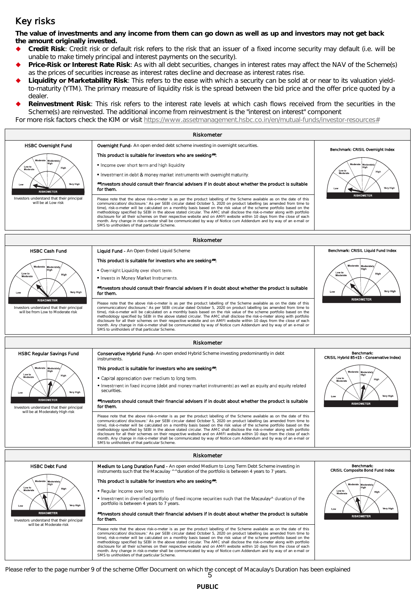# Key risks

**The value of investments and any income from them can go down as well as up and investors may not get back the amount originally invested.** 

- **Credit Risk**: Credit risk or default risk refers to the risk that an issuer of a fixed income security may default (i.e. will be unable to make timely principal and interest payments on the security).
- **Price-Risk or Interest Rate Risk**: As with all debt securities, changes in interest rates may affect the NAV of the Scheme(s) as the prices of securities increase as interest rates decline and decrease as interest rates rise.
- **Liquidity or Marketability Risk**: This refers to the ease with which a security can be sold at or near to its valuation yieldto-maturity (YTM). The primary measure of liquidity risk is the spread between the bid price and the offer price quoted by a dealer.
- **Reinvestment Risk**: This risk refers to the interest rate levels at which cash flows received from the securities in the Scheme(s) are reinvested. The additional income from reinvestment is the "interest on interest" component

For more risk factors check the KIM or visit [https://www.assetmanagement.hsbc.co.in/en/mutual-funds/investor-resources#](https://www.assetmanagement.hsbc.co.in/en/mutual-funds/investor-resources)



Please refer to the page number 9 of the scheme Offer Document on which the concept of Macaulay's Duration has been explained<br>5

**PUBLIC**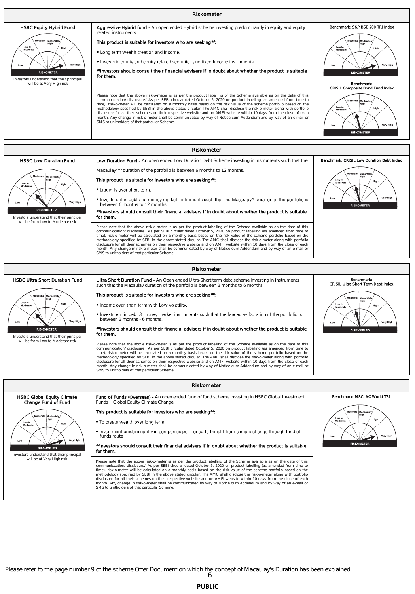

.<br>DMETER Investors understand that their principal will be at Very High risk

##Investors should consult their financial advisers if in doubt about whether the product is suitable for them.

Please note that the above risk-o-meter is as per the product labelling of the Scheme available as on the date of this<br>communiccation/ disclosure.' As per SEBI circular dated October 5, 2020 on product labelling (as amende time), risk-o-meter will be calculated on a monthly basis based on the risk value of the scheme portfolio based on the<br>methodology specified by SEBI in the above stated circular. The AMC shall disclose the risk-o-meter alo

6 Please refer to the page number 9 of the scheme Offer Document on which the concept of Macaulay's Duration has been explained